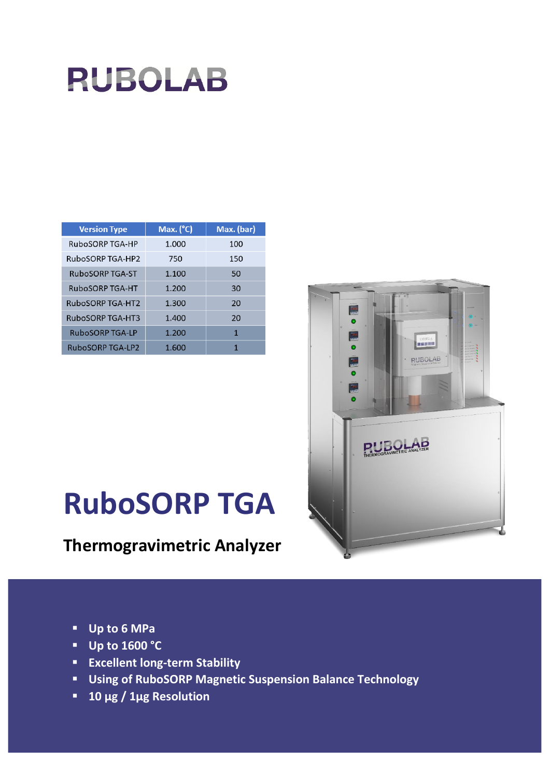

| <b>Version Type</b>     | Max. (°C) | Max. (bar) |
|-------------------------|-----------|------------|
| RuboSORP TGA-HP         | 1.000     | 100        |
| RuboSORP TGA-HP2        | 750       | 150        |
| RuboSORP TGA-ST         | 1.100     | 50         |
| RuboSORP TGA-HT         | 1.200     | 30         |
| RuboSORP TGA-HT2        | 1.300     | 20         |
| <b>RuboSORP TGA-HT3</b> | 1.400     | 20         |
| <b>RuboSORP TGA-LP</b>  | 1.200     | 1          |
| <b>RuboSORP TGA-LP2</b> | 1.600     | 1          |



# **RuboSORP TGA**

# **Thermogravimetric Analyzer**

- **Up to 6 MPa**
- **Up to 1600 °C**
- **Excellent long-term Stability**
- **Using of RuboSORP Magnetic Suspension Balance Technology**
- **10 µg / 1µg Resolution**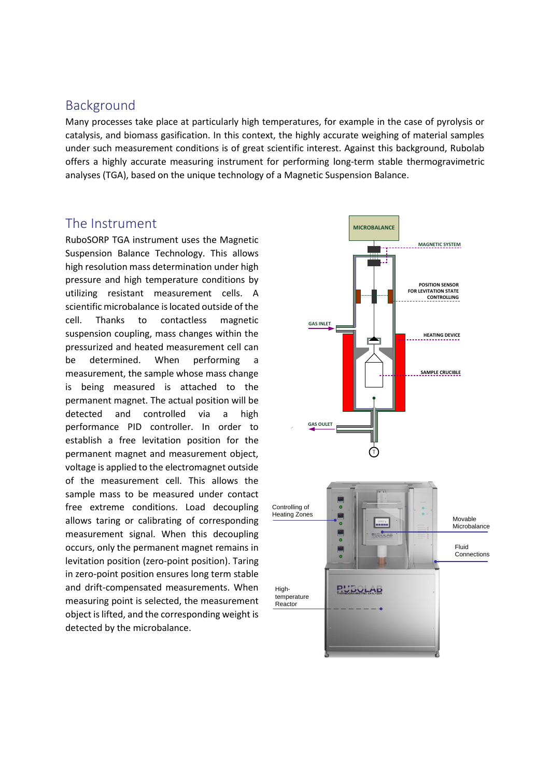### Background

Many processes take place at particularly high temperatures, for example in the case of pyrolysis or catalysis, and biomass gasification. In this context, the highly accurate weighing of material samples under such measurement conditions is of great scientific interest. Against this background, Rubolab offers a highly accurate measuring instrument for performing long-term stable thermogravimetric analyses (TGA), based on the unique technology of a Magnetic Suspension Balance.

## The Instrument

RuboSORP TGA instrument uses the Magnetic Suspension Balance Technology. This allows high resolution mass determination under high pressure and high temperature conditions by utilizing resistant measurement cells. A scientific microbalance is located outside of the cell. Thanks to contactless magnetic suspension coupling, mass changes within the pressurized and heated measurement cell can be determined. When performing a measurement, the sample whose mass change is being measured is attached to the permanent magnet. The actual position will be detected and controlled via a high performance PID controller. In order to establish a free levitation position for the permanent magnet and measurement object, voltage is applied to the electromagnet outside of the measurement cell. This allows the sample mass to be measured under contact free extreme conditions. Load decoupling allows taring or calibrating of corresponding measurement signal. When this decoupling occurs, only the permanent magnet remains in levitation position (zero-point position). Taring in zero-point position ensures long term stable and drift-compensated measurements. When measuring point is selected, the measurement object is lifted, and the corresponding weight is detected by the microbalance.

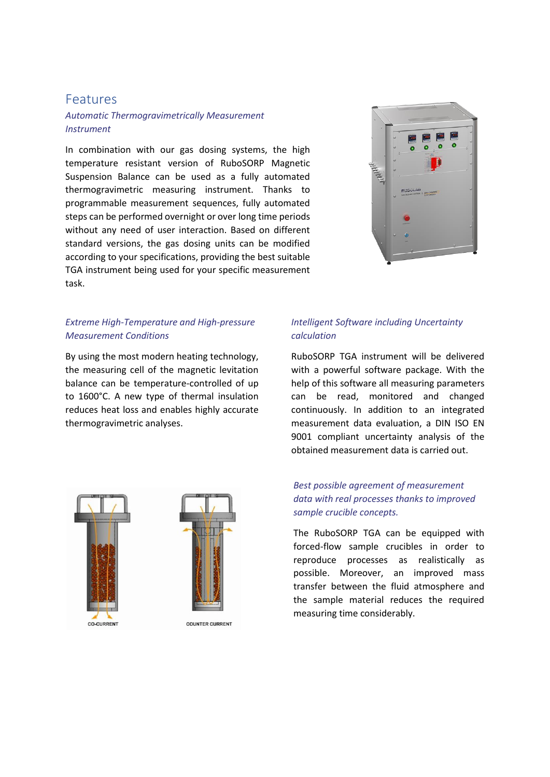#### Features

#### *Automatic Thermogravimetrically Measurement Instrument*

In combination with our gas dosing systems, the high temperature resistant version of RuboSORP Magnetic Suspension Balance can be used as a fully automated thermogravimetric measuring instrument. Thanks to programmable measurement sequences, fully automated steps can be performed overnight or over long time periods without any need of user interaction. Based on different standard versions, the gas dosing units can be modified according to your specifications, providing the best suitable TGA instrument being used for your specific measurement task.



#### *Extreme High-Temperature and High-pressure Measurement Conditions*

By using the most modern heating technology, the measuring cell of the magnetic levitation balance can be temperature-controlled of up to 1600°C. A new type of thermal insulation reduces heat loss and enables highly accurate thermogravimetric analyses.



#### *Intelligent Software including Uncertainty calculation*

RuboSORP TGA instrument will be delivered with a powerful software package. With the help of this software all measuring parameters can be read, monitored and changed continuously. In addition to an integrated measurement data evaluation, a DIN ISO EN 9001 compliant uncertainty analysis of the obtained measurement data is carried out.

#### *Best possible agreement of measurement data with real processes thanks to improved sample crucible concepts.*

The RuboSORP TGA can be equipped with forced-flow sample crucibles in order to reproduce processes as realistically as possible. Moreover, an improved mass transfer between the fluid atmosphere and the sample material reduces the required measuring time considerably.